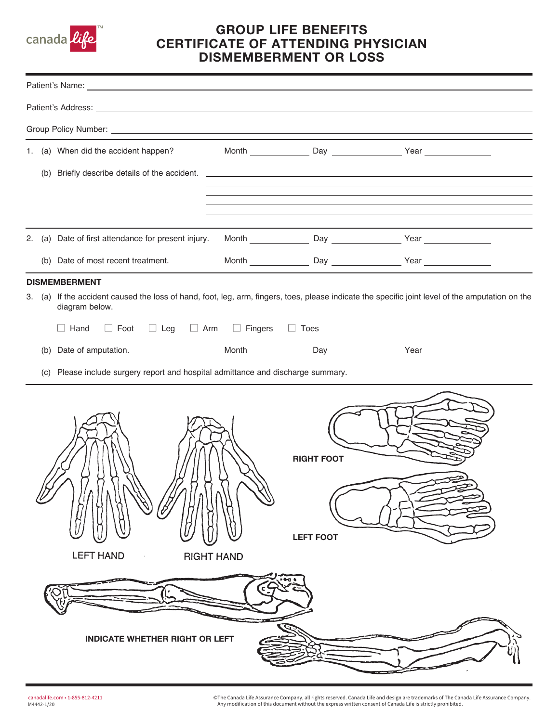

## GROUP LIFE BENEFITS CERTIFICATE OF ATTENDING PHYSICIAN DISMEMBERMENT OR LOSS

|                      |                                       | 1. (a) When did the accident happen?                                                                                                                               |  |                                       |  |  |  |  |  |
|----------------------|---------------------------------------|--------------------------------------------------------------------------------------------------------------------------------------------------------------------|--|---------------------------------------|--|--|--|--|--|
|                      |                                       |                                                                                                                                                                    |  |                                       |  |  |  |  |  |
|                      |                                       |                                                                                                                                                                    |  |                                       |  |  |  |  |  |
|                      |                                       |                                                                                                                                                                    |  |                                       |  |  |  |  |  |
|                      |                                       | 2. (a) Date of first attendance for present injury.                                                                                                                |  |                                       |  |  |  |  |  |
|                      |                                       | (b) Date of most recent treatment.                                                                                                                                 |  |                                       |  |  |  |  |  |
| <b>DISMEMBERMENT</b> |                                       |                                                                                                                                                                    |  |                                       |  |  |  |  |  |
|                      |                                       | 3. (a) If the accident caused the loss of hand, foot, leg, arm, fingers, toes, please indicate the specific joint level of the amputation on the<br>diagram below. |  |                                       |  |  |  |  |  |
|                      |                                       | $\Box$ Foot $\Box$ Leg $\Box$ Arm $\Box$ Fingers<br>$\Box$ Hand                                                                                                    |  | $\Box$ Toes                           |  |  |  |  |  |
|                      | (b)                                   | Date of amputation.                                                                                                                                                |  |                                       |  |  |  |  |  |
|                      |                                       | (c) Please include surgery report and hospital admittance and discharge summary.                                                                                   |  |                                       |  |  |  |  |  |
|                      | <b>LEFT HAND</b><br><b>RIGHT HAND</b> |                                                                                                                                                                    |  | <b>RIGHT FOOT</b><br><b>LEFT FOOT</b> |  |  |  |  |  |
|                      |                                       | <b>INDICATE WHETHER RIGHT OR LEFT</b>                                                                                                                              |  |                                       |  |  |  |  |  |

© The Canada Life Assurance Company, all rights reserved. Canada Life and design are trademarks of The Canada Life Assurance Company. Any modification of this document without the express written consent of Canada Life is strictly prohibited.